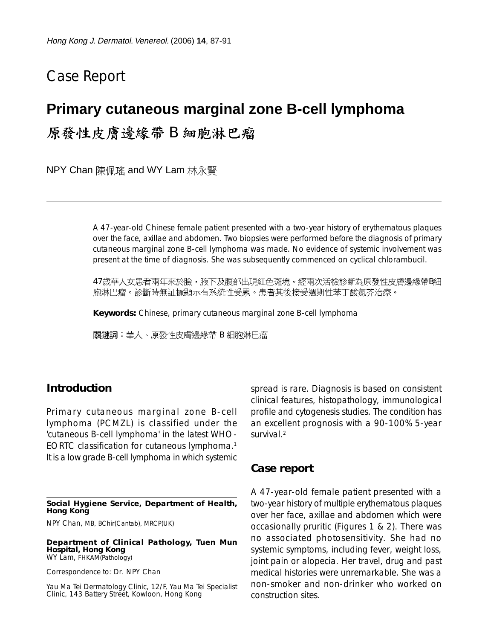# Case Report

## **Primary cutaneous marginal zone B-cell lymphoma**

原發性皮膚邊緣帶B細胞淋巴瘤

NPY Chan 陳佩瑤 and WY Lam 林永賢

A 47-year-old Chinese female patient presented with a two-year history of erythematous plaques over the face, axillae and abdomen. Two biopsies were performed before the diagnosis of primary cutaneous marginal zone B-cell lymphoma was made. No evidence of systemic involvement was present at the time of diagnosis. She was subsequently commenced on cyclical chlorambucil.

47歲華人女患者兩年來於臉,腋下及腹部出現紅色斑塊。經兩次活檢診斷為原發性皮膚邊緣帶B細 胞淋巴瘤。診斷時無証據顯示有系統性受累。患者其後接受週期性苯丁酸氮芥治療。

**Keywords:** Chinese, primary cutaneous marginal zone B-cell lymphoma

關鍵詞:華人、原發性皮膚邊緣帶 B 細胞淋巴瘤

### **Introduction**

Primary cutaneous marginal zone B-cell lymphoma (PCMZL) is classified under the 'cutaneous B-cell lymphoma' in the latest WHO-EORTC classification for cutaneous lymphoma.1 It is a low grade B-cell lymphoma in which systemic

**Social Hygiene Service, Department of Health, Hong Kong**

NPY Chan, MB, BChir(Cantab), MRCP(UK)

**Department of Clinical Pathology, Tuen Mun Hospital, Hong Kong** WY Lam, FHKAM(Pathology)

Correspondence to: Dr. NPY Chan

Yau Ma Tei Dermatology Clinic, 12/F, Yau Ma Tei Specialist Clinic, 143 Battery Street, Kowloon, Hong Kong

spread is rare. Diagnosis is based on consistent clinical features, histopathology, immunological profile and cytogenesis studies. The condition has an excellent prognosis with a 90-100% 5-year survival.<sup>2</sup>

#### **Case report**

A 47-year-old female patient presented with a two-year history of multiple erythematous plaques over her face, axillae and abdomen which were occasionally pruritic (Figures 1 & 2). There was no associated photosensitivity. She had no systemic symptoms, including fever, weight loss, joint pain or alopecia. Her travel, drug and past medical histories were unremarkable. She was a non-smoker and non-drinker who worked on construction sites.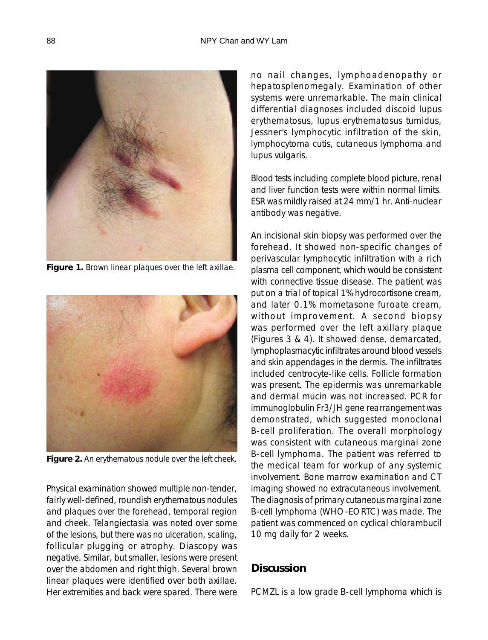

**Figure 1.** Brown linear plaques over the left axillae.



**Figure 2.** An erythematous nodule over the left cheek.

Physical examination showed multiple non-tender, fairly well-defined, roundish erythematous nodules and plaques over the forehead, temporal region and cheek. Telangiectasia was noted over some of the lesions, but there was no ulceration, scaling, follicular plugging or atrophy. Diascopy was negative. Similar, but smaller, lesions were present over the abdomen and right thigh. Several brown linear plaques were identified over both axillae. Her extremities and back were spared. There were no nail changes, lymphoadenopathy or hepatosplenomegaly. Examination of other systems were unremarkable. The main clinical differential diagnoses included discoid lupus erythematosus, lupus erythematosus tumidus, Jessner's lymphocytic infiltration of the skin, lymphocytoma cutis, cutaneous lymphoma and lupus vulgaris.

Blood tests including complete blood picture, renal and liver function tests were within normal limits. ESR was mildly raised at 24 mm/1 hr. Anti-nuclear antibody was negative.

An incisional skin biopsy was performed over the forehead. It showed non-specific changes of perivascular lymphocytic infiltration with a rich plasma cell component, which would be consistent with connective tissue disease. The patient was put on a trial of topical 1% hydrocortisone cream, and later 0.1% mometasone furoate cream, without improvement. A second biopsy was performed over the left axillary plaque (Figures 3 & 4). It showed dense, demarcated, lymphoplasmacytic infiltrates around blood vessels and skin appendages in the dermis. The infiltrates included centrocyte-like cells. Follicle formation was present. The epidermis was unremarkable and dermal mucin was not increased. PCR for immunoglobulin Fr3/JH gene rearrangement was demonstrated, which suggested monoclonal B-cell proliferation. The overall morphology was consistent with cutaneous marginal zone B-cell lymphoma. The patient was referred to the medical team for workup of any systemic involvement. Bone marrow examination and CT imaging showed no extracutaneous involvement. The diagnosis of primary cutaneous marginal zone B-cell lymphoma (WHO-EORTC) was made. The patient was commenced on cyclical chlorambucil 10 mg daily for 2 weeks.

## **Discussion**

PCMZL is a low grade B-cell lymphoma which is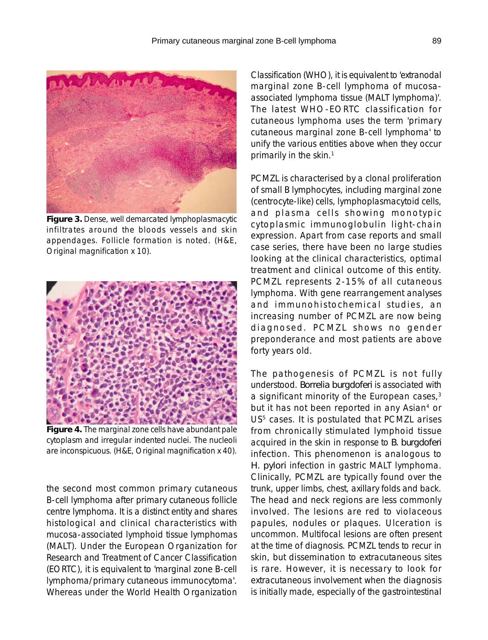

**Figure 3.** Dense, well demarcated lymphoplasmacytic infiltrates around the bloods vessels and skin appendages. Follicle formation is noted. (H&E, Original magnification x 10).



**Figure 4.** The marginal zone cells have abundant pale cytoplasm and irregular indented nuclei. The nucleoli are inconspicuous. (H&E, Original magnification x 40).

the second most common primary cutaneous B-cell lymphoma after primary cutaneous follicle centre lymphoma. It is a distinct entity and shares histological and clinical characteristics with mucosa-associated lymphoid tissue lymphomas (MALT). Under the European Organization for Research and Treatment of Cancer Classification (EORTC), it is equivalent to 'marginal zone B-cell lymphoma/primary cutaneous immunocytoma'. Whereas under the World Health Organization

Classification (WHO), it is equivalent to 'extranodal marginal zone B-cell lymphoma of mucosaassociated lymphoma tissue (MALT lymphoma)'. The latest WHO-EORTC classification for cutaneous lymphoma uses the term 'primary cutaneous marginal zone B-cell lymphoma' to unify the various entities above when they occur primarily in the skin.<sup>1</sup>

PCMZL is characterised by a clonal proliferation of small B lymphocytes, including marginal zone (centrocyte-like) cells, lymphoplasmacytoid cells, and plasma cells showing monotypic cytoplasmic immunoglobulin light-chain expression. Apart from case reports and small case series, there have been no large studies looking at the clinical characteristics, optimal treatment and clinical outcome of this entity. PCMZL represents 2-15% of all cutaneous lymphoma. With gene rearrangement analyses and immunohistochemical studies, an increasing number of PCMZL are now being diagnosed. PCMZL shows no gender preponderance and most patients are above forty years old.

The pathogenesis of PCMZL is not fully understood. *Borrelia burgdoferi* is associated with a significant minority of the European cases,<sup>3</sup> but it has not been reported in any Asian4 or US<sup>5</sup> cases. It is postulated that PCMZL arises from chronically stimulated lymphoid tissue acquired in the skin in response to *B. burgdoferi* infection. This phenomenon is analogous to *H. pylori* infection in gastric MALT lymphoma. Clinically, PCMZL are typically found over the trunk, upper limbs, chest, axillary folds and back. The head and neck regions are less commonly involved. The lesions are red to violaceous papules, nodules or plaques. Ulceration is uncommon. Multifocal lesions are often present at the time of diagnosis. PCMZL tends to recur in skin, but dissemination to extracutaneous sites is rare. However, it is necessary to look for extracutaneous involvement when the diagnosis is initially made, especially of the gastrointestinal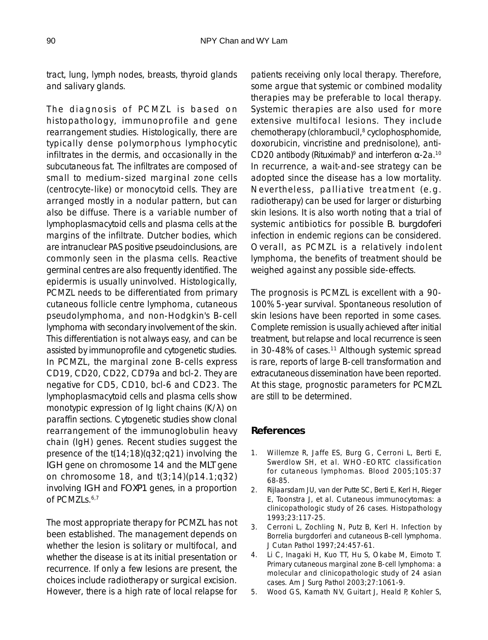tract, lung, lymph nodes, breasts, thyroid glands and salivary glands.

The diagnosis of PCMZL is based on histopathology, immunoprofile and gene rearrangement studies. Histologically, there are typically dense polymorphous lymphocytic infiltrates in the dermis, and occasionally in the subcutaneous fat. The infiltrates are composed of small to medium-sized marginal zone cells (centrocyte-like) or monocytoid cells. They are arranged mostly in a nodular pattern, but can also be diffuse. There is a variable number of lymphoplasmacytoid cells and plasma cells at the margins of the infiltrate. Dutcher bodies, which are intranuclear PAS positive pseudoinclusions, are commonly seen in the plasma cells. Reactive germinal centres are also frequently identified. The epidermis is usually uninvolved. Histologically, PCMZL needs to be differentiated from primary cutaneous follicle centre lymphoma, cutaneous pseudolymphoma, and non-Hodgkin's B-cell lymphoma with secondary involvement of the skin. This differentiation is not always easy, and can be assisted by immunoprofile and cytogenetic studies. In PCMZL, the marginal zone B-cells express CD19, CD20, CD22, CD79a and bcl-2. They are negative for CD5, CD10, bcl-6 and CD23. The lymphoplasmacytoid cells and plasma cells show monotypic expression of Ig light chains (K/λ) on paraffin sections. Cytogenetic studies show clonal rearrangement of the immunoglobulin heavy chain (IgH) genes. Recent studies suggest the presence of the t(14;18)(q32;q21) involving the *IGH* gene on chromosome 14 and the *MLT* gene on chromosome 18, and  $t(3;14)(p14.1;q32)$ involving *IGH* and *FOXP1* genes, in a proportion of PCMZLs.<sup>6,7</sup>

The most appropriate therapy for PCMZL has not been established. The management depends on whether the lesion is solitary or multifocal, and whether the disease is at its initial presentation or recurrence. If only a few lesions are present, the choices include radiotherapy or surgical excision. However, there is a high rate of local relapse for

patients receiving only local therapy. Therefore, some argue that systemic or combined modality therapies may be preferable to local therapy. Systemic therapies are also used for more extensive multifocal lesions. They include chemotherapy (chlorambucil,<sup>8</sup> cyclophosphomide, doxorubicin, vincristine and prednisolone), anti-CD20 antibody (Rituximab)<sup>9</sup> and interferon  $\alpha$ -2a.<sup>10</sup> In recurrence, a wait-and-see strategy can be adopted since the disease has a low mortality. Nevertheless, palliative treatment (e.g. radiotherapy) can be used for larger or disturbing skin lesions. It is also worth noting that a trial of systemic antibiotics for possible *B. burgdoferi* infection in endemic regions can be considered. Overall, as PCMZL is a relatively indolent lymphoma, the benefits of treatment should be weighed against any possible side-effects.

The prognosis is PCMZL is excellent with a 90- 100% 5-year survival. Spontaneous resolution of skin lesions have been reported in some cases. Complete remission is usually achieved after initial treatment, but relapse and local recurrence is seen in 30-48% of cases.<sup>11</sup> Although systemic spread is rare, reports of large B-cell transformation and extracutaneous dissemination have been reported. At this stage, prognostic parameters for PCMZL are still to be determined.

## **References**

- 1. Willemze R, Jaffe ES, Burg G, Cerroni L, Berti E, Swerdlow SH, et al. WHO-EORTC classification for cutaneous lymphomas. Blood 2005;105:37 68-85.
- 2. Rijlaarsdam JU, van der Putte SC, Berti E, Kerl H, Rieger E, Toonstra J, et al. Cutaneous immunocytomas: a clinicopathologic study of 26 cases. Histopathology 1993;23:117-25.
- 3. Cerroni L, Zochling N, Putz B, Kerl H. Infection by Borrelia burgdorferi and cutaneous B-cell lymphoma. J Cutan Pathol 1997;24:457-61.
- 4. Li C, Inagaki H, Kuo TT, Hu S, Okabe M, Eimoto T. Primary cutaneous marginal zone B-cell lymphoma: a molecular and clinicopathologic study of 24 asian cases. Am J Surg Pathol 2003;27:1061-9.
- 5. Wood GS, Kamath NV, Guitart J, Heald P, Kohler S,